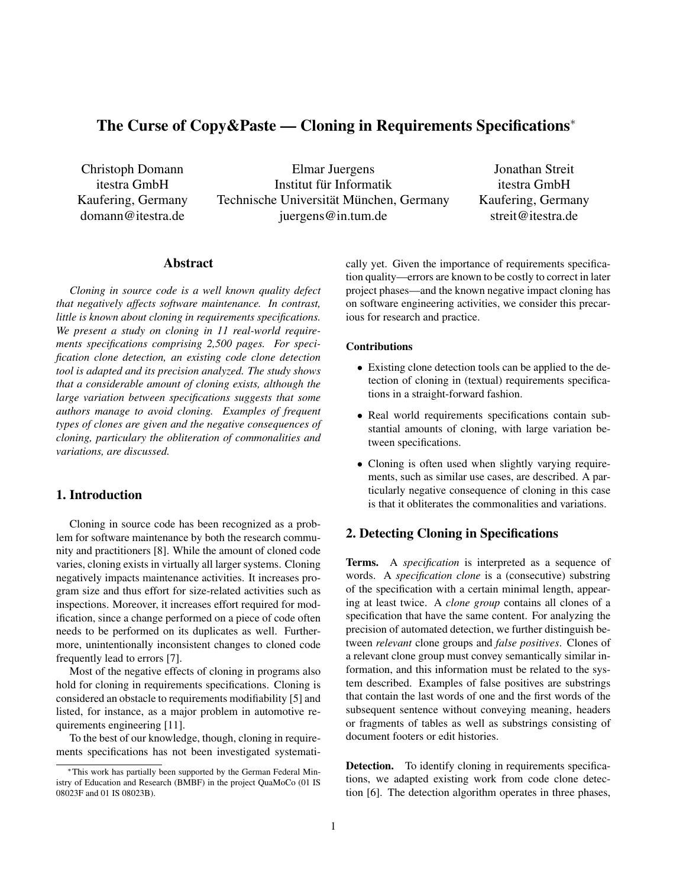# The Curse of Copy&Paste — Cloning in Requirements Specifications<sup>\*</sup>

Christoph Domann itestra GmbH Kaufering, Germany domann@itestra.de

Elmar Juergens Institut fur Informatik ¨ Technische Universität München, Germany juergens@in.tum.de

Jonathan Streit itestra GmbH Kaufering, Germany streit@itestra.de

## Abstract

*Cloning in source code is a well known quality defect that negatively affects software maintenance. In contrast, little is known about cloning in requirements specifications. We present a study on cloning in 11 real-world requirements specifications comprising 2,500 pages. For specification clone detection, an existing code clone detection tool is adapted and its precision analyzed. The study shows that a considerable amount of cloning exists, although the large variation between specifications suggests that some authors manage to avoid cloning. Examples of frequent types of clones are given and the negative consequences of cloning, particulary the obliteration of commonalities and variations, are discussed.*

# 1. Introduction

Cloning in source code has been recognized as a problem for software maintenance by both the research community and practitioners [8]. While the amount of cloned code varies, cloning exists in virtually all larger systems. Cloning negatively impacts maintenance activities. It increases program size and thus effort for size-related activities such as inspections. Moreover, it increases effort required for modification, since a change performed on a piece of code often needs to be performed on its duplicates as well. Furthermore, unintentionally inconsistent changes to cloned code frequently lead to errors [7].

Most of the negative effects of cloning in programs also hold for cloning in requirements specifications. Cloning is considered an obstacle to requirements modifiability [5] and listed, for instance, as a major problem in automotive requirements engineering [11].

To the best of our knowledge, though, cloning in requirements specifications has not been investigated systematically yet. Given the importance of requirements specification quality—errors are known to be costly to correct in later project phases—and the known negative impact cloning has on software engineering activities, we consider this precarious for research and practice.

### Contributions

- Existing clone detection tools can be applied to the detection of cloning in (textual) requirements specifications in a straight-forward fashion.
- Real world requirements specifications contain substantial amounts of cloning, with large variation between specifications.
- Cloning is often used when slightly varying requirements, such as similar use cases, are described. A particularly negative consequence of cloning in this case is that it obliterates the commonalities and variations.

# 2. Detecting Cloning in Specifications

Terms. A *specification* is interpreted as a sequence of words. A *specification clone* is a (consecutive) substring of the specification with a certain minimal length, appearing at least twice. A *clone group* contains all clones of a specification that have the same content. For analyzing the precision of automated detection, we further distinguish between *relevant* clone groups and *false positives*. Clones of a relevant clone group must convey semantically similar information, and this information must be related to the system described. Examples of false positives are substrings that contain the last words of one and the first words of the subsequent sentence without conveying meaning, headers or fragments of tables as well as substrings consisting of document footers or edit histories.

Detection. To identify cloning in requirements specifications, we adapted existing work from code clone detection [6]. The detection algorithm operates in three phases,

<sup>∗</sup>This work has partially been supported by the German Federal Ministry of Education and Research (BMBF) in the project QuaMoCo (01 IS 08023F and 01 IS 08023B).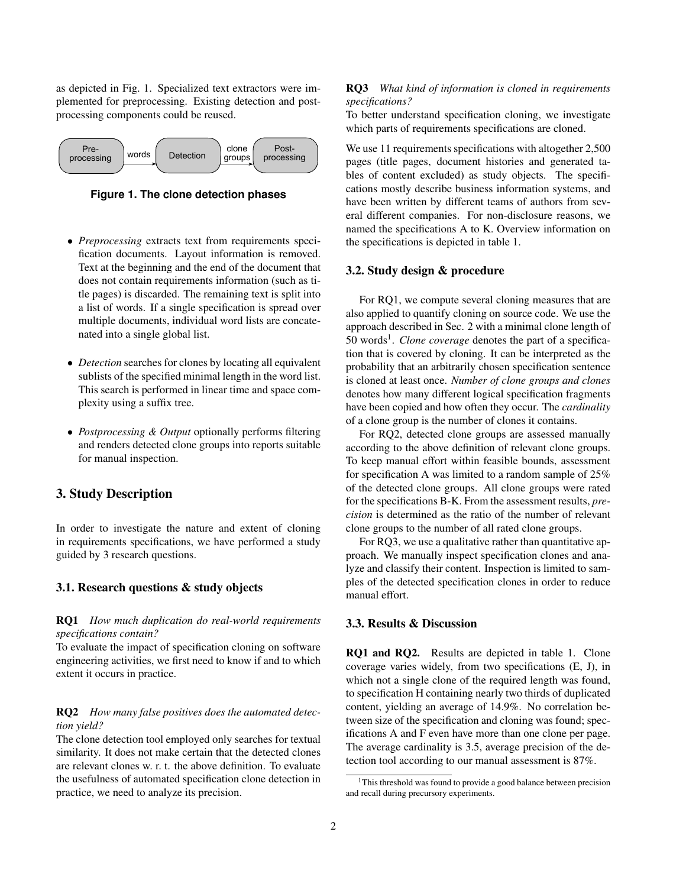as depicted in Fig. 1. Specialized text extractors were implemented for preprocessing. Existing detection and postprocessing components could be reused.



**Figure 1. The clone detection phases**

- *Preprocessing* extracts text from requirements specification documents. Layout information is removed. Text at the beginning and the end of the document that does not contain requirements information (such as title pages) is discarded. The remaining text is split into a list of words. If a single specification is spread over multiple documents, individual word lists are concatenated into a single global list.
- *Detection* searches for clones by locating all equivalent sublists of the specified minimal length in the word list. This search is performed in linear time and space complexity using a suffix tree.
- *Postprocessing & Output* optionally performs filtering and renders detected clone groups into reports suitable for manual inspection.

## 3. Study Description

In order to investigate the nature and extent of cloning in requirements specifications, we have performed a study guided by 3 research questions.

#### 3.1. Research questions & study objects

## RQ1 *How much duplication do real-world requirements specifications contain?*

To evaluate the impact of specification cloning on software engineering activities, we first need to know if and to which extent it occurs in practice.

### RQ2 *How many false positives does the automated detection yield?*

The clone detection tool employed only searches for textual similarity. It does not make certain that the detected clones are relevant clones w. r. t. the above definition. To evaluate the usefulness of automated specification clone detection in practice, we need to analyze its precision.

## RQ3 *What kind of information is cloned in requirements specifications?*

To better understand specification cloning, we investigate which parts of requirements specifications are cloned.

We use 11 requirements specifications with altogether 2,500 pages (title pages, document histories and generated tables of content excluded) as study objects. The specifications mostly describe business information systems, and have been written by different teams of authors from several different companies. For non-disclosure reasons, we named the specifications A to K. Overview information on the specifications is depicted in table 1.

#### 3.2. Study design & procedure

For RQ1, we compute several cloning measures that are also applied to quantify cloning on source code. We use the approach described in Sec. 2 with a minimal clone length of 50 words<sup>1</sup>. *Clone coverage* denotes the part of a specification that is covered by cloning. It can be interpreted as the probability that an arbitrarily chosen specification sentence is cloned at least once. *Number of clone groups and clones* denotes how many different logical specification fragments have been copied and how often they occur. The *cardinality* of a clone group is the number of clones it contains.

For RQ2, detected clone groups are assessed manually according to the above definition of relevant clone groups. To keep manual effort within feasible bounds, assessment for specification A was limited to a random sample of 25% of the detected clone groups. All clone groups were rated for the specifications B-K. From the assessment results, *precision* is determined as the ratio of the number of relevant clone groups to the number of all rated clone groups.

For RQ3, we use a qualitative rather than quantitative approach. We manually inspect specification clones and analyze and classify their content. Inspection is limited to samples of the detected specification clones in order to reduce manual effort.

#### 3.3. Results & Discussion

RQ1 and RQ2. Results are depicted in table 1. Clone coverage varies widely, from two specifications (E, J), in which not a single clone of the required length was found, to specification H containing nearly two thirds of duplicated content, yielding an average of 14.9%. No correlation between size of the specification and cloning was found; specifications A and F even have more than one clone per page. The average cardinality is 3.5, average precision of the detection tool according to our manual assessment is 87%.

<sup>&</sup>lt;sup>1</sup>This threshold was found to provide a good balance between precision and recall during precursory experiments.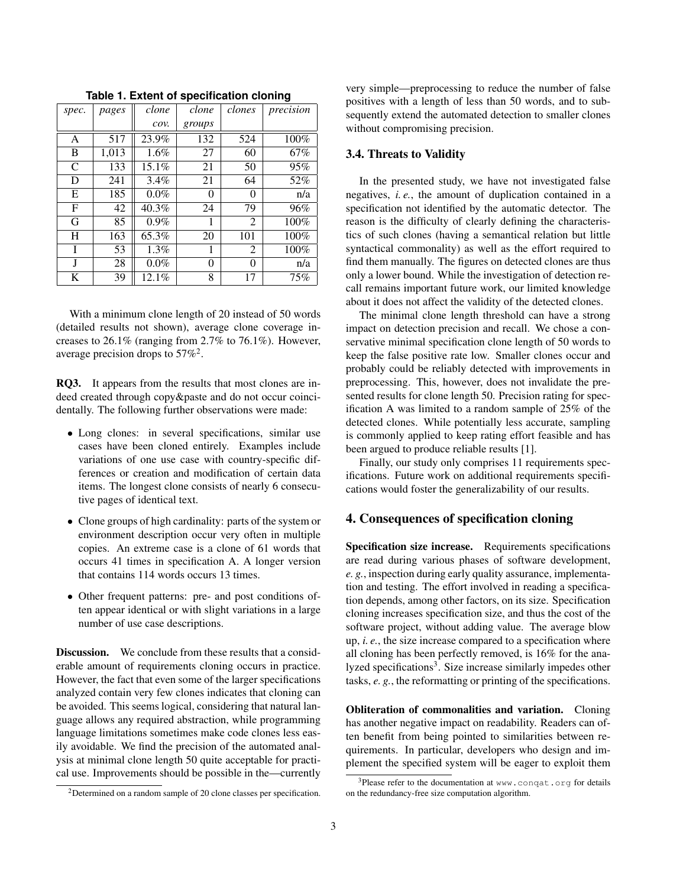| spec. | pages | clone             | clone  | clones | precision |
|-------|-------|-------------------|--------|--------|-----------|
|       |       | $\mathcal{C}ov$ . | groups |        |           |
| A     | 517   | 23.9%             | 132    | 524    | 100%      |
| B     | 1,013 | $1.6\%$           | 27     | 60     | 67%       |
| C     | 133   | 15.1%             | 21     | 50     | 95%       |
| D     | 241   | $3.4\%$           | 21     | 64     | 52%       |
| E     | 185   | $0.0\%$           | 0      | 0      | n/a       |
| F     | 42    | 40.3%             | 24     | 79     | 96%       |
| G     | 85    | $0.9\%$           | 1      | 2      | 100%      |
| H     | 163   | 65.3%             | 20     | 101    | 100%      |
| T     | 53    | $1.3\%$           | 1      | 2      | 100%      |
| J     | 28    | $0.0\%$           | 0      | 0      | n/a       |
| K     | 39    | 12.1%             | 8      | 17     | 75%       |

**Table 1. Extent of specification cloning**

With a minimum clone length of 20 instead of 50 words (detailed results not shown), average clone coverage increases to 26.1% (ranging from 2.7% to 76.1%). However, average precision drops to  $57\%$ <sup>2</sup>.

RQ3. It appears from the results that most clones are indeed created through copy&paste and do not occur coincidentally. The following further observations were made:

- Long clones: in several specifications, similar use cases have been cloned entirely. Examples include variations of one use case with country-specific differences or creation and modification of certain data items. The longest clone consists of nearly 6 consecutive pages of identical text.
- Clone groups of high cardinality: parts of the system or environment description occur very often in multiple copies. An extreme case is a clone of 61 words that occurs 41 times in specification A. A longer version that contains 114 words occurs 13 times.
- Other frequent patterns: pre- and post conditions often appear identical or with slight variations in a large number of use case descriptions.

Discussion. We conclude from these results that a considerable amount of requirements cloning occurs in practice. However, the fact that even some of the larger specifications analyzed contain very few clones indicates that cloning can be avoided. This seems logical, considering that natural language allows any required abstraction, while programming language limitations sometimes make code clones less easily avoidable. We find the precision of the automated analysis at minimal clone length 50 quite acceptable for practical use. Improvements should be possible in the—currently very simple—preprocessing to reduce the number of false positives with a length of less than 50 words, and to subsequently extend the automated detection to smaller clones without compromising precision.

#### 3.4. Threats to Validity

In the presented study, we have not investigated false negatives, *i. e.*, the amount of duplication contained in a specification not identified by the automatic detector. The reason is the difficulty of clearly defining the characteristics of such clones (having a semantical relation but little syntactical commonality) as well as the effort required to find them manually. The figures on detected clones are thus only a lower bound. While the investigation of detection recall remains important future work, our limited knowledge about it does not affect the validity of the detected clones.

The minimal clone length threshold can have a strong impact on detection precision and recall. We chose a conservative minimal specification clone length of 50 words to keep the false positive rate low. Smaller clones occur and probably could be reliably detected with improvements in preprocessing. This, however, does not invalidate the presented results for clone length 50. Precision rating for specification A was limited to a random sample of 25% of the detected clones. While potentially less accurate, sampling is commonly applied to keep rating effort feasible and has been argued to produce reliable results [1].

Finally, our study only comprises 11 requirements specifications. Future work on additional requirements specifications would foster the generalizability of our results.

## 4. Consequences of specification cloning

Specification size increase. Requirements specifications are read during various phases of software development, *e. g.*, inspection during early quality assurance, implementation and testing. The effort involved in reading a specification depends, among other factors, on its size. Specification cloning increases specification size, and thus the cost of the software project, without adding value. The average blow up, *i. e.*, the size increase compared to a specification where all cloning has been perfectly removed, is 16% for the analyzed specifications<sup>3</sup>. Size increase similarly impedes other tasks, *e. g.*, the reformatting or printing of the specifications.

Obliteration of commonalities and variation. Cloning has another negative impact on readability. Readers can often benefit from being pointed to similarities between requirements. In particular, developers who design and implement the specified system will be eager to exploit them

 $2$ Determined on a random sample of 20 clone classes per specification.

<sup>&</sup>lt;sup>3</sup>Please refer to the documentation at www.conqat.org for details on the redundancy-free size computation algorithm.